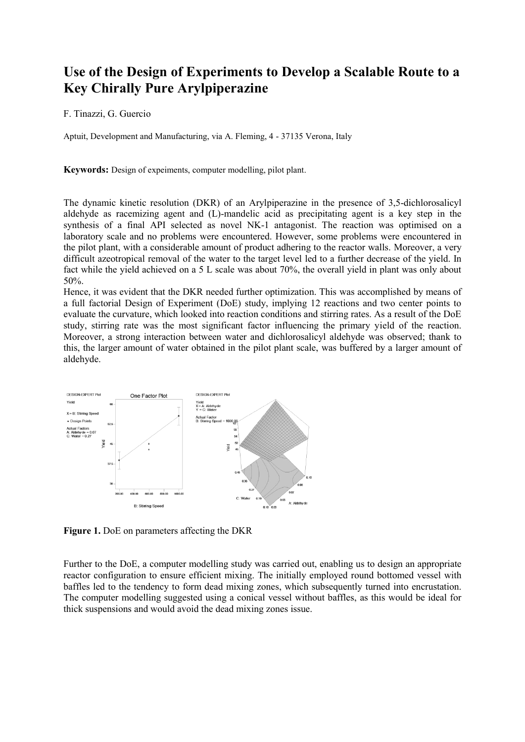## **Use of the Design of Experiments to Develop a Scalable Route to a Key Chirally Pure Arylpiperazine**

## F. Tinazzi, G. Guercio

Aptuit, Development and Manufacturing, via A. Fleming, 4 - 37135 Verona, Italy

**Keywords:** Design of expeiments, computer modelling, pilot plant.

The dynamic kinetic resolution (DKR) of an Arylpiperazine in the presence of 3,5-dichlorosalicyl aldehyde as racemizing agent and (L)-mandelic acid as precipitating agent is a key step in the synthesis of a final API selected as novel NK-1 antagonist. The reaction was optimised on a laboratory scale and no problems were encountered. However, some problems were encountered in the pilot plant, with a considerable amount of product adhering to the reactor walls. Moreover, a very difficult azeotropical removal of the water to the target level led to a further decrease of the yield. In fact while the yield achieved on a 5 L scale was about 70%, the overall yield in plant was only about 50%.

Hence, it was evident that the DKR needed further optimization. This was accomplished by means of a full factorial Design of Experiment (DoE) study, implying 12 reactions and two center points to evaluate the curvature, which looked into reaction conditions and stirring rates. As a result of the DoE study, stirring rate was the most significant factor influencing the primary yield of the reaction. Moreover, a strong interaction between water and dichlorosalicyl aldehyde was observed; thank to this, the larger amount of water obtained in the pilot plant scale, was buffered by a larger amount of aldehyde.



**Figure 1.** DoE on parameters affecting the DKR

Further to the DoE, a computer modelling study was carried out, enabling us to design an appropriate reactor configuration to ensure efficient mixing. The initially employed round bottomed vessel with baffles led to the tendency to form dead mixing zones, which subsequently turned into encrustation. The computer modelling suggested using a conical vessel without baffles, as this would be ideal for thick suspensions and would avoid the dead mixing zones issue.